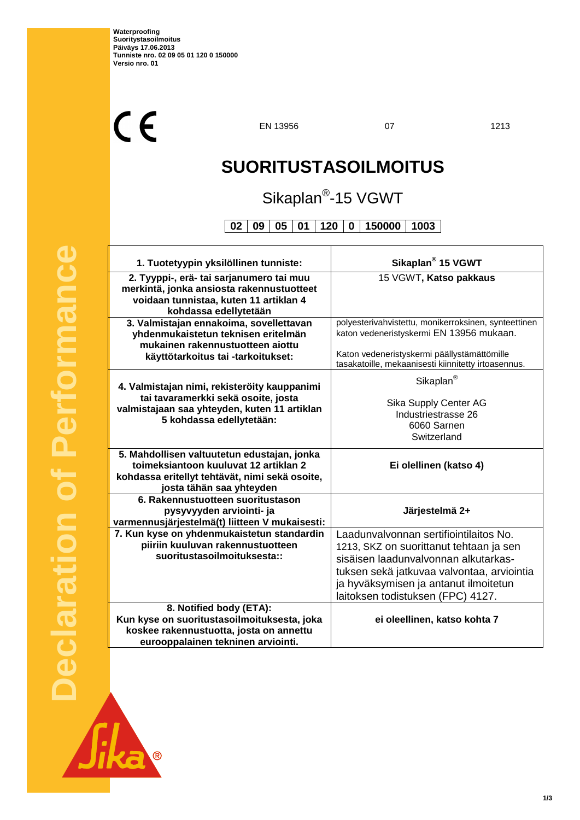$C<sub>f</sub>$ 

EN 13956 07 1213

٦

# **SUORITUSTASOILMOITUS**

## Sikaplan<sup>®</sup>-15 VGWT

**02 09 05 01 120 0 150000 1003**

| 1. Tuotetyypin yksilöllinen tunniste:                                                                                                                              | Sikaplan <sup>®</sup> 15 VGWT                                                                                                                                                                                                                         |
|--------------------------------------------------------------------------------------------------------------------------------------------------------------------|-------------------------------------------------------------------------------------------------------------------------------------------------------------------------------------------------------------------------------------------------------|
| 2. Tyyppi-, erä- tai sarjanumero tai muu<br>merkintä, jonka ansiosta rakennustuotteet<br>voidaan tunnistaa, kuten 11 artiklan 4<br>kohdassa edellytetään           | 15 VGWT, Katso pakkaus                                                                                                                                                                                                                                |
| 3. Valmistajan ennakoima, sovellettavan<br>yhdenmukaistetun teknisen eritelmän<br>mukainen rakennustuotteen aiottu<br>käyttötarkoitus tai -tarkoitukset:           | polyesterivahvistettu, monikerroksinen, synteettinen<br>katon vedeneristyskermi EN 13956 mukaan.<br>Katon vedeneristyskermi päällystämättömille<br>tasakatoille, mekaanisesti kiinnitetty irtoasennus.                                                |
| 4. Valmistajan nimi, rekisteröity kauppanimi<br>tai tavaramerkki sekä osoite, josta<br>valmistajaan saa yhteyden, kuten 11 artiklan<br>5 kohdassa edellytetään:    | Sikaplan <sup>®</sup><br>Sika Supply Center AG<br>Industriestrasse 26<br>6060 Sarnen<br>Switzerland                                                                                                                                                   |
| 5. Mahdollisen valtuutetun edustajan, jonka<br>toimeksiantoon kuuluvat 12 artiklan 2<br>kohdassa eritellyt tehtävät, nimi sekä osoite,<br>josta tähän saa yhteyden | Ei olellinen (katso 4)                                                                                                                                                                                                                                |
| 6. Rakennustuotteen suoritustason<br>pysyvyyden arviointi- ja<br>varmennusjärjestelmä(t) liitteen V mukaisesti:                                                    | Järjestelmä 2+                                                                                                                                                                                                                                        |
| 7. Kun kyse on yhdenmukaistetun standardin<br>piiriin kuuluvan rakennustuotteen<br>suoritustasoilmoituksesta::                                                     | Laadunvalvonnan sertifiointilaitos No.<br>1213, SKZ on suorittanut tehtaan ja sen<br>sisäisen laadunvalvonnan alkutarkas-<br>tuksen sekä jatkuvaa valvontaa, arviointia<br>ja hyväksymisen ja antanut ilmoitetun<br>laitoksen todistuksen (FPC) 4127. |
| 8. Notified body (ETA):<br>Kun kyse on suoritustasoilmoituksesta, joka                                                                                             |                                                                                                                                                                                                                                                       |

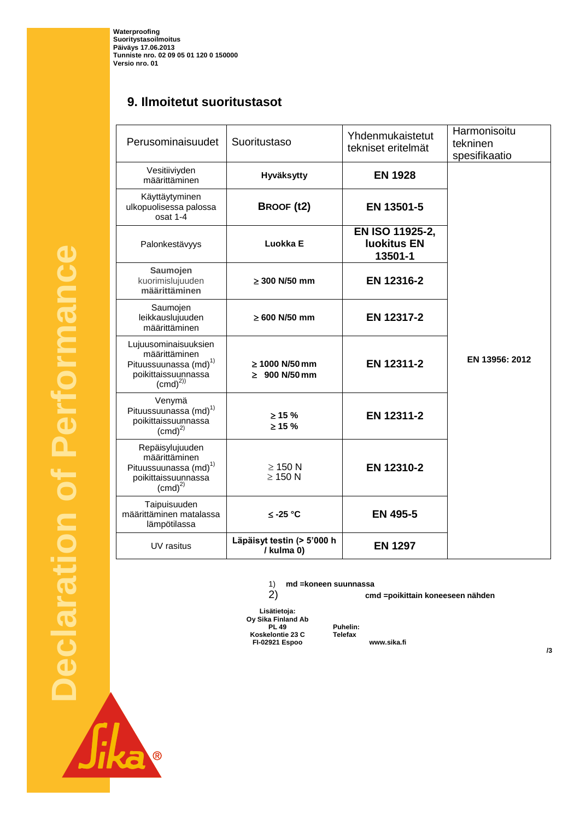**Waterproofing Suoritystasoilmoitus Päiväys 17.06.2013 Tunniste nro. 02 09 05 01 120 0 150000 Versio nro. 01**

### **9. Ilmoitetut suoritustasot**

| Perusominaisuudet                                                                                                  | Suoritustaso                             | Yhdenmukaistetut<br>tekniset eritelmät           | Harmonisoitu<br>tekninen<br>spesifikaatio |
|--------------------------------------------------------------------------------------------------------------------|------------------------------------------|--------------------------------------------------|-------------------------------------------|
| Vesitiiviyden<br>määrittäminen                                                                                     | Hyväksytty                               | <b>EN 1928</b>                                   |                                           |
| Käyttäytyminen<br>ulkopuolisessa palossa<br>osat 1-4                                                               | BROOF (t2)                               | EN 13501-5                                       |                                           |
| Palonkestävyys                                                                                                     | Luokka E                                 | EN ISO 11925-2,<br><b>Iuokitus EN</b><br>13501-1 |                                           |
| Saumojen<br>kuorimislujuuden<br>määrittäminen                                                                      | $> 300$ N/50 mm                          | EN 12316-2                                       |                                           |
| Saumojen<br>leikkauslujuuden<br>määrittäminen                                                                      | $\geq 600$ N/50 mm                       | EN 12317-2                                       |                                           |
| Lujuusominaisuuksien<br>määrittäminen<br>Pituussuunassa (md) <sup>1)</sup><br>poikittaissuunnassa<br>$(cmd)^{2)}$  | $> 1000$ N/50 mm<br>$\geq 900$ N/50 mm   | EN 12311-2                                       | EN 13956: 2012                            |
| Venymä<br>Pituussuunassa (md) <sup>1)</sup><br>poikittaissuunnassa<br>(cmd) <sup>2</sup>                           | $> 15 \%$<br>$\geq 15 \%$                | EN 12311-2                                       |                                           |
| Repäisylujuuden<br>määrittäminen<br>Pituussuunassa (md) <sup>1)</sup><br>poikittaissuunnassa<br>(cmd) <sup>2</sup> | $\geq$ 150 N<br>$\geq$ 150 N             | EN 12310-2                                       |                                           |
| Taipuisuuden<br>määrittäminen matalassa<br>lämpötilassa                                                            | ≤ -25 °C                                 | <b>EN 495-5</b>                                  |                                           |
| UV rasitus                                                                                                         | Läpäisyt testin (> 5'000 h<br>/ kulma 0) | <b>EN 1297</b>                                   |                                           |

1) **md =koneen suunnassa**

2) **cmd =poikittain koneeseen nähden**

**Lisätietoja: Oy Sika Finland Ab PL 49 Puhelin: +358 9 544 431 Koskelontie 23 C Telefax +358 9 511 43300 FI-02921 Espoo www.sika.fi**

**Declaration of Performance**  Performance  $\overline{\phantom{a}}$ **Declaration** 

Sika

**/3**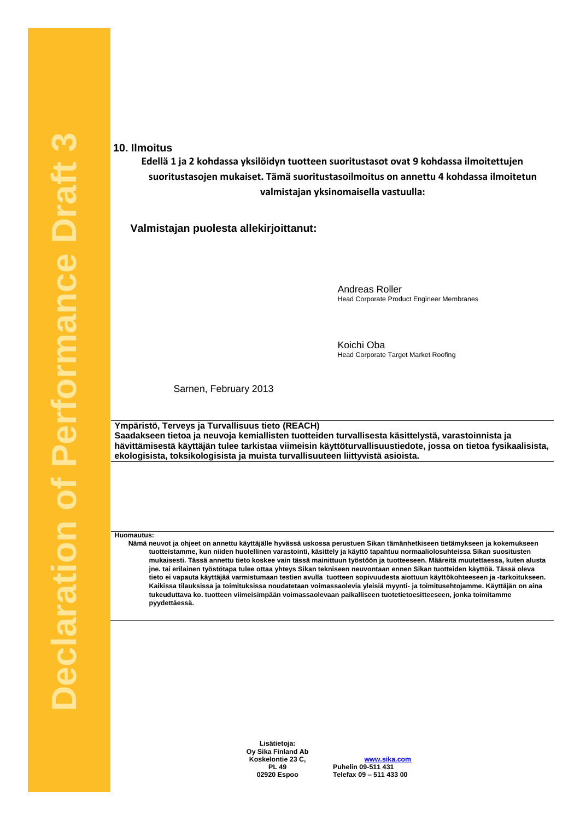#### **10. Ilmoitus**

**Edellä 1 ja 2 kohdassa yksilöidyn tuotteen suoritustasot ovat 9 kohdassa ilmoitettujen suoritustasojen mukaiset. Tämä suoritustasoilmoitus on annettu 4 kohdassa ilmoitetun valmistajan yksinomaisella vastuulla:**

**Valmistajan puolesta allekirjoittanut:**

Andreas Roller Head Corporate Product Engineer Membranes

Koichi Oba Head Corporate Target Market Roofing

Sarnen, February 2013

**Ympäristö, Terveys ja Turvallisuus tieto (REACH) Saadakseen tietoa ja neuvoja kemiallisten tuotteiden turvallisesta käsittelystä, varastoinnista ja hävittämisestä käyttäjän tulee tarkistaa viimeisin käyttöturvallisuustiedote, jossa on tietoa fysikaalisista, ekologisista, toksikologisista ja muista turvallisuuteen liittyvistä asioista.**

**Huomautus:**

**Nämä neuvot ja ohjeet on annettu käyttäjälle hyvässä uskossa perustuen Sikan tämänhetkiseen tietämykseen ja kokemukseen tuotteistamme, kun niiden huolellinen varastointi, käsittely ja käyttö tapahtuu normaaliolosuhteissa Sikan suositusten mukaisesti. Tässä annettu tieto koskee vain tässä mainittuun työstöön ja tuotteeseen. Määreitä muutettaessa, kuten alusta jne. tai erilainen työstötapa tulee ottaa yhteys Sikan tekniseen neuvontaan ennen Sikan tuotteiden käyttöä. Tässä oleva tieto ei vapauta käyttäjää varmistumaan testien avulla tuotteen sopivuudesta aiottuun käyttökohteeseen ja -tarkoitukseen. Kaikissa tilauksissa ja toimituksissa noudatetaan voimassaolevia yleisiä myynti- ja toimitusehtojamme. Käyttäjän on aina tukeuduttava ko. tuotteen viimeisimpään voimassaolevaan paikalliseen tuotetietoesitteeseen, jonka toimitamme pyydettäessä.**

> **Lisätietoja: Oy Sika Finland Ab Koskelontie 23 C, PL 49**

**www.sika.com Puhelin 09-511 431 +358 9 511 431 02920 Espoo Telefax 09 – 511 433 00 +358 9 511 433 300**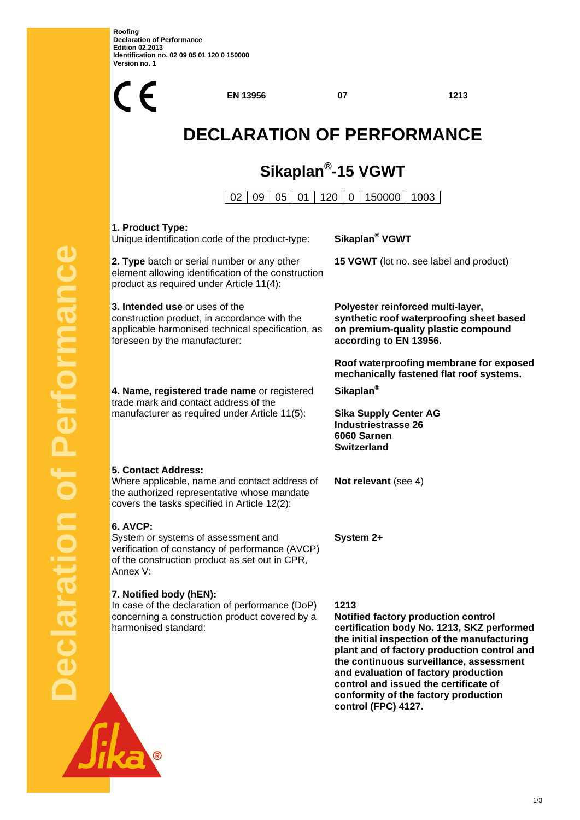**Roofing Declaration of Performance Edition 02.2013 Identification no. 02 09 05 01 120 0 150000 Version no. 1** 

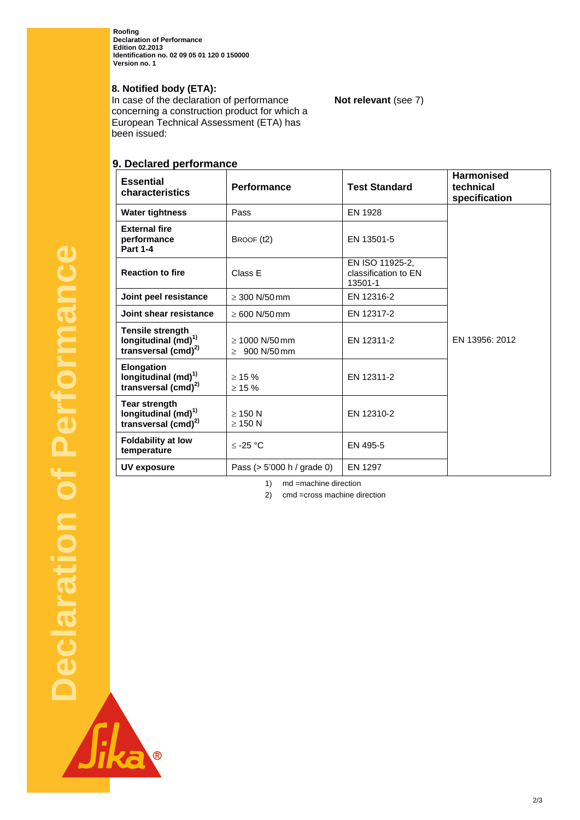**Roofing Declaration of Performance Edition 02.2013 Identification no. 02 09 05 01 120 0 150000 Version no. 1** 

#### **8. Notified body (ETA):**

In case of the declaration of performance concerning a construction product for which a European Technical Assessment (ETA) has been issued:

### **9. Declared performance**

| <b>Essential</b><br>characteristics                                                     | <b>Performance</b>                        | <b>Test Standard</b>                               | <b>Harmonised</b><br>technical<br>specification |
|-----------------------------------------------------------------------------------------|-------------------------------------------|----------------------------------------------------|-------------------------------------------------|
| <b>Water tightness</b>                                                                  | Pass                                      | EN 1928                                            |                                                 |
| <b>External fire</b><br>performance<br><b>Part 1-4</b>                                  | BROOF (t2)                                | EN 13501-5                                         |                                                 |
| <b>Reaction to fire</b>                                                                 | Class E                                   | EN ISO 11925-2.<br>classification to EN<br>13501-1 |                                                 |
| Joint peel resistance                                                                   | $\geq 300$ N/50 mm                        | EN 12316-2                                         |                                                 |
| Joint shear resistance                                                                  | $\geq 600$ N/50 mm                        | EN 12317-2                                         |                                                 |
| <b>Tensile strength</b><br>longitudinal $(md)^{1}$<br>transversal (cmd) <sup>2)</sup>   | $\geq 1000$ N/50 mm<br>$\geq 900$ N/50 mm | EN 12311-2                                         | EN 13956: 2012                                  |
| <b>Elongation</b><br>longitudinal (md) <sup>1)</sup><br>transversal (cmd) <sup>2)</sup> | $\geq 15 \%$<br>$\geq 15 \%$              | EN 12311-2                                         |                                                 |
| <b>Tear strength</b><br>longitudinal $(md)^{1}$<br>transversal (cmd) <sup>2)</sup>      | $\geq$ 150 N<br>$\geq$ 150 N              | EN 12310-2                                         |                                                 |
| <b>Foldability at low</b><br>temperature                                                | $≤$ -25 °C                                | EN 495-5                                           |                                                 |
| UV exposure                                                                             | Pass $(> 5'000 h /$ grade 0)              | EN 1297                                            |                                                 |

**Not relevant** (see 7)

1) md =machine direction

2) cmd =cross machine direction